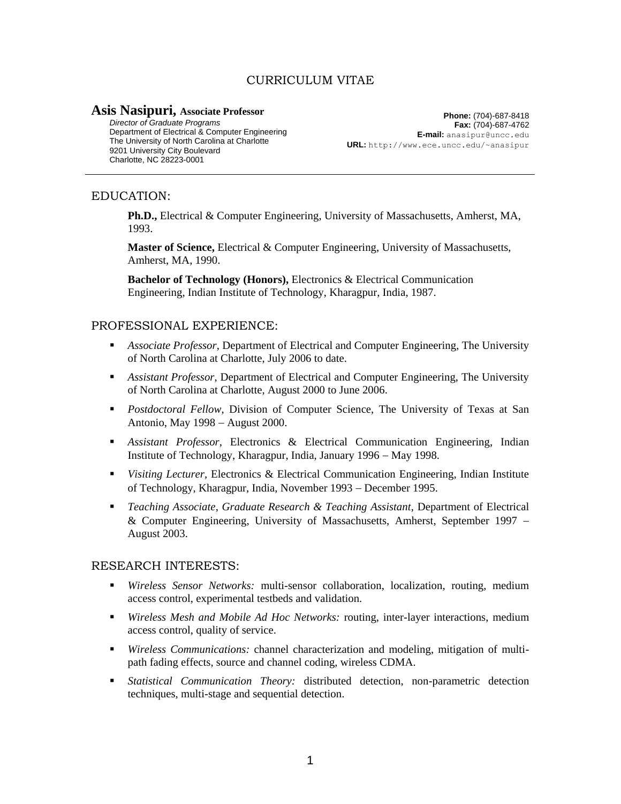# CURRICULUM VITAE

## **Asis Nasipuri, Associate Professor**

*Director of Graduate Programs* Department of Electrical & Computer Engineering The University of North Carolina at Charlotte 9201 University City Boulevard Charlotte, NC 28223-0001

**Phone:** (704)-687-8418 **Fax:** (704)-687-4762 **E-mail:** anasipur@uncc.edu **URL:** http://www.ece.uncc.edu/~anasipur

## EDUCATION:

**Ph.D.,** Electrical & Computer Engineering, University of Massachusetts, Amherst, MA, 1993.

**Master of Science,** Electrical & Computer Engineering, University of Massachusetts, Amherst, MA, 1990.

**Bachelor of Technology (Honors),** Electronics & Electrical Communication Engineering, Indian Institute of Technology, Kharagpur, India, 1987.

## PROFESSIONAL EXPERIENCE:

- *Associate Professor*, Department of Electrical and Computer Engineering, The University of North Carolina at Charlotte, July 2006 to date.
- *Assistant Professor*, Department of Electrical and Computer Engineering, The University of North Carolina at Charlotte, August 2000 to June 2006.
- *Postdoctoral Fellow*, Division of Computer Science, The University of Texas at San Antonio, May 1998 – August 2000.
- *Assistant Professor*, Electronics & Electrical Communication Engineering, Indian Institute of Technology, Kharagpur, India, January 1996 – May 1998.
- **•** Visiting Lecturer, Electronics & Electrical Communication Engineering, Indian Institute of Technology, Kharagpur, India, November 1993 – December 1995.
- *Teaching Associate*, *Graduate Research & Teaching Assistant*, Department of Electrical & Computer Engineering, University of Massachusetts, Amherst, September 1997 August 2003.

### RESEARCH INTERESTS:

- *Wireless Sensor Networks:* multi-sensor collaboration, localization, routing, medium access control, experimental testbeds and validation.
- *Wireless Mesh and Mobile Ad Hoc Networks:* routing, inter-layer interactions, medium access control, quality of service.
- *Wireless Communications:* channel characterization and modeling, mitigation of multipath fading effects, source and channel coding, wireless CDMA.
- *Statistical Communication Theory:* distributed detection, non-parametric detection techniques, multi-stage and sequential detection.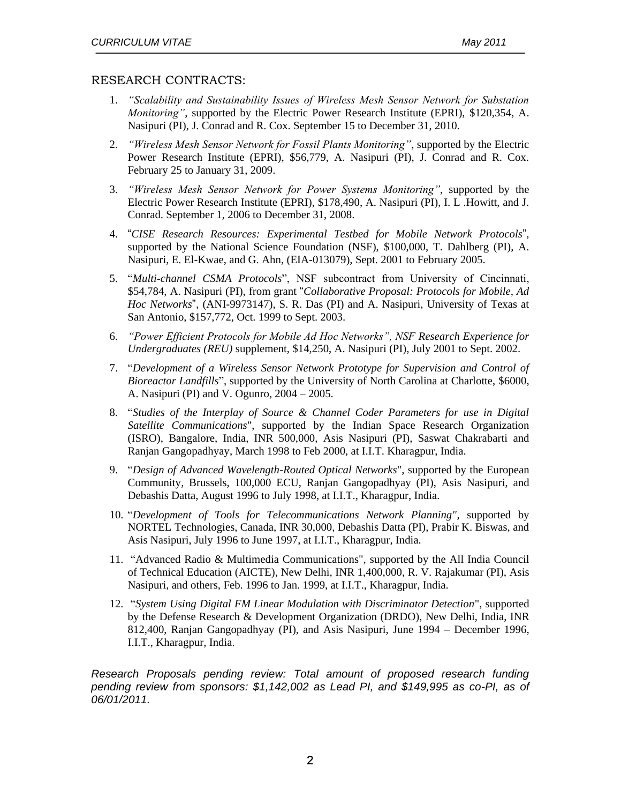## RESEARCH CONTRACTS:

- 1. *"Scalability and Sustainability Issues of Wireless Mesh Sensor Network for Substation Monitoring"*, supported by the Electric Power Research Institute (EPRI), \$120,354, A. Nasipuri (PI), J. Conrad and R. Cox. September 15 to December 31, 2010.
- 2. *"Wireless Mesh Sensor Network for Fossil Plants Monitoring"*, supported by the Electric Power Research Institute (EPRI), \$56,779, A. Nasipuri (PI), J. Conrad and R. Cox. February 25 to January 31, 2009.
- 3. *"Wireless Mesh Sensor Network for Power Systems Monitoring"*, supported by the Electric Power Research Institute (EPRI), \$178,490, A. Nasipuri (PI), I. L .Howitt, and J. Conrad. September 1, 2006 to December 31, 2008.
- 4. "*CISE Research Resources: Experimental Testbed for Mobile Network Protocols*", supported by the National Science Foundation (NSF), \$100,000, T. Dahlberg (PI), A. Nasipuri, E. El-Kwae, and G. Ahn, (EIA-013079), Sept. 2001 to February 2005.
- 5. "*Multi-channel CSMA Protocols*", NSF subcontract from University of Cincinnati, \$54,784, A. Nasipuri (PI), from grant "*Collaborative Proposal: Protocols for Mobile, Ad Hoc Networks*", (ANI-9973147), S. R. Das (PI) and A. Nasipuri, University of Texas at San Antonio, \$157,772, Oct. 1999 to Sept. 2003.
- 6. *"Power Efficient Protocols for Mobile Ad Hoc Networks", NSF Research Experience for Undergraduates (REU)* supplement, \$14,250, A. Nasipuri (PI), July 2001 to Sept. 2002.
- 7. "*Development of a Wireless Sensor Network Prototype for Supervision and Control of Bioreactor Landfills*", supported by the University of North Carolina at Charlotte, \$6000, A. Nasipuri (PI) and V. Ogunro, 2004 – 2005.
- 8. "*Studies of the Interplay of Source & Channel Coder Parameters for use in Digital Satellite Communications*", supported by the Indian Space Research Organization (ISRO), Bangalore, India, INR 500,000, Asis Nasipuri (PI), Saswat Chakrabarti and Ranjan Gangopadhyay, March 1998 to Feb 2000, at I.I.T. Kharagpur, India.
- 9. "*Design of Advanced Wavelength-Routed Optical Networks*", supported by the European Community, Brussels, 100,000 ECU, Ranjan Gangopadhyay (PI), Asis Nasipuri, and Debashis Datta, August 1996 to July 1998, at I.I.T., Kharagpur, India.
- 10. "*Development of Tools for Telecommunications Network Planning"*, supported by NORTEL Technologies, Canada, INR 30,000, Debashis Datta (PI), Prabir K. Biswas, and Asis Nasipuri, July 1996 to June 1997, at I.I.T., Kharagpur, India.
- 11. "Advanced Radio & Multimedia Communications", supported by the All India Council of Technical Education (AICTE), New Delhi, INR 1,400,000, R. V. Rajakumar (PI), Asis Nasipuri, and others, Feb. 1996 to Jan. 1999, at I.I.T., Kharagpur, India.
- 12. "*System Using Digital FM Linear Modulation with Discriminator Detection*", supported by the Defense Research & Development Organization (DRDO), New Delhi, India, INR 812,400, Ranjan Gangopadhyay (PI), and Asis Nasipuri, June 1994 – December 1996, I.I.T., Kharagpur, India.

*Research Proposals pending review: Total amount of proposed research funding pending review from sponsors: \$1,142,002 as Lead PI, and \$149,995 as co-PI, as of 06/01/2011.*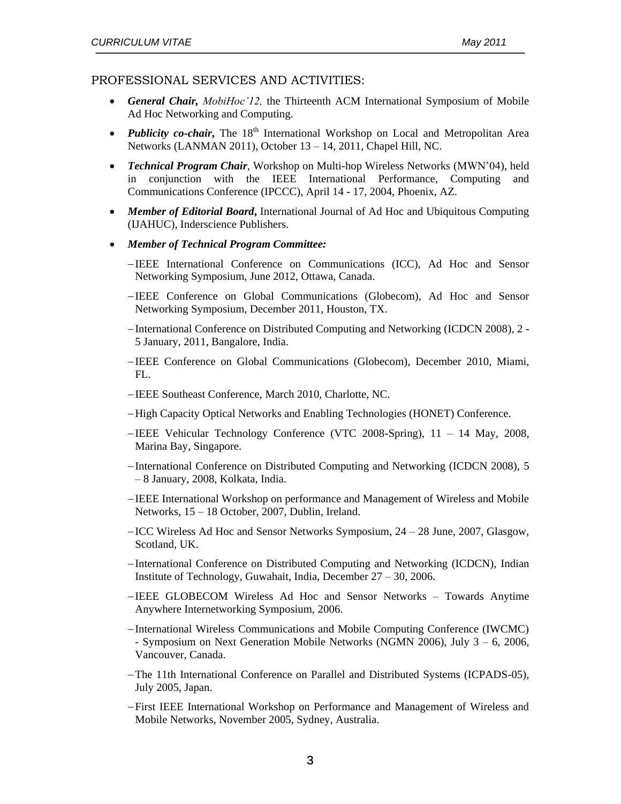### PROFESSIONAL SERVICES AND ACTIVITIES:

- *General Chair, MobiHoc'12,* the Thirteenth ACM International Symposium of Mobile Ad Hoc Networking and Computing.
- *Publicity co-chair*, The 18<sup>th</sup> International Workshop on Local and Metropolitan Area Networks (LANMAN 2011), October 13 – 14, 2011, Chapel Hill, NC.
- *Technical Program Chair,* Workshop on Multi-hop Wireless Networks (MWN'04), held in conjunction with the IEEE International Performance, Computing and Communications Conference (IPCCC), April 14 - 17, 2004, Phoenix, AZ.
- *Member of Editorial Board***,** International Journal of Ad Hoc and Ubiquitous Computing (IJAHUC), Inderscience Publishers.
- *Member of Technical Program Committee:* 
	- IEEE International Conference on Communications (ICC), Ad Hoc and Sensor Networking Symposium, June 2012, Ottawa, Canada.
	- -IEEE Conference on Global Communications (Globecom), Ad Hoc and Sensor Networking Symposium, December 2011, Houston, TX.
	- International Conference on Distributed Computing and Networking (ICDCN 2008), 2 5 January, 2011, Bangalore, India.
	- IEEE Conference on Global Communications (Globecom), December 2010, Miami, FL.
	- -IEEE Southeast Conference, March 2010, Charlotte, NC.
	- High Capacity Optical Networks and Enabling Technologies (HONET) Conference.
	- IEEE Vehicular Technology Conference (VTC 2008-Spring), 11 14 May, 2008, Marina Bay, Singapore.
	- International Conference on Distributed Computing and Networking (ICDCN 2008), 5 – 8 January, 2008, Kolkata, India.
	- IEEE International Workshop on performance and Management of Wireless and Mobile Networks, 15 – 18 October, 2007, Dublin, Ireland.
	- ICC Wireless Ad Hoc and Sensor Networks Symposium, 24 28 June, 2007, Glasgow, Scotland, UK.
	- -International Conference on Distributed Computing and Networking (ICDCN), Indian Institute of Technology, Guwahait, India, December 27 – 30, 2006.
	- IEEE GLOBECOM Wireless Ad Hoc and Sensor Networks Towards Anytime Anywhere Internetworking Symposium, 2006.
	- International Wireless Communications and Mobile Computing Conference (IWCMC) - Symposium on Next Generation Mobile Networks (NGMN 2006), July 3 – 6, 2006, Vancouver, Canada.
	- The 11th International Conference on Parallel and Distributed Systems (ICPADS-05), July 2005, Japan.
	- First IEEE International Workshop on Performance and Management of Wireless and Mobile Networks, November 2005, Sydney, Australia.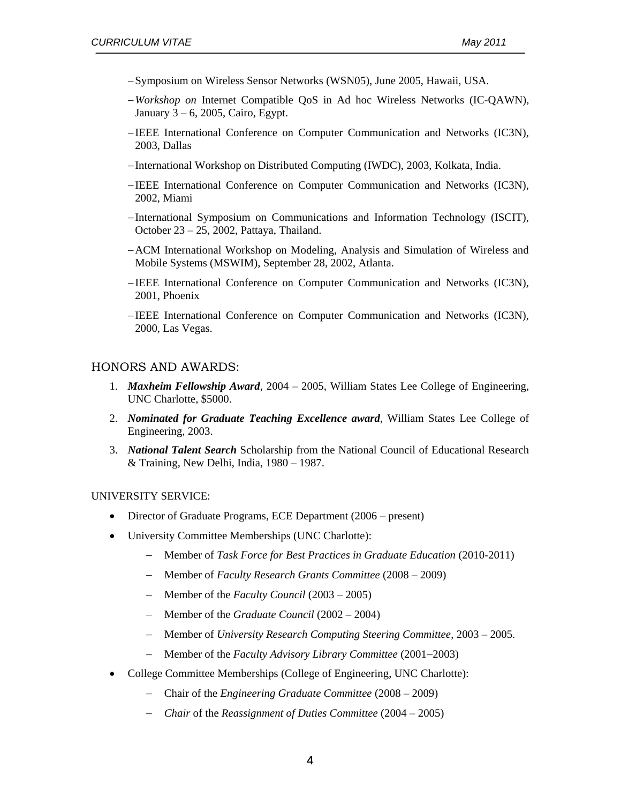- Symposium on Wireless Sensor Networks (WSN05), June 2005, Hawaii, USA.
- *Workshop on* Internet Compatible QoS in Ad hoc Wireless Networks (IC-QAWN)*,*  January 3 – 6, 2005, Cairo, Egypt.
- IEEE International Conference on Computer Communication and Networks (IC3N), 2003, Dallas
- International Workshop on Distributed Computing (IWDC), 2003, Kolkata, India.
- IEEE International Conference on Computer Communication and Networks (IC3N), 2002, Miami
- -International Symposium on Communications and Information Technology (ISCIT), October 23 – 25, 2002, Pattaya, Thailand.
- -ACM International Workshop on Modeling, Analysis and Simulation of Wireless and Mobile Systems (MSWIM), September 28, 2002, Atlanta.
- IEEE International Conference on Computer Communication and Networks (IC3N), 2001, Phoenix
- IEEE International Conference on Computer Communication and Networks (IC3N), 2000, Las Vegas.

#### HONORS AND AWARDS:

- 1. *Maxheim Fellowship Award*, 2004 2005, William States Lee College of Engineering, UNC Charlotte, \$5000.
- 2. *Nominated for Graduate Teaching Excellence award*, William States Lee College of Engineering, 2003.
- 3. *National Talent Search* Scholarship from the National Council of Educational Research & Training, New Delhi, India, 1980 – 1987.

#### UNIVERSITY SERVICE:

- Director of Graduate Programs, ECE Department (2006 present)
- University Committee Memberships (UNC Charlotte):
	- Member of *Task Force for Best Practices in Graduate Education* (2010-2011)
	- Member of *Faculty Research Grants Committee* (2008 2009)
	- Member of the *Faculty Council* (2003 2005)
	- Member of the *Graduate Council* (2002 2004)
	- Member of *University Research Computing Steering Committee*, 2003 2005.
	- Member of the *Faculty Advisory Library Committee* (2001–2003)
- College Committee Memberships (College of Engineering, UNC Charlotte):
	- Chair of the *Engineering Graduate Committee* (2008 2009)
	- *Chair* of the *Reassignment of Duties Committee* (2004 2005)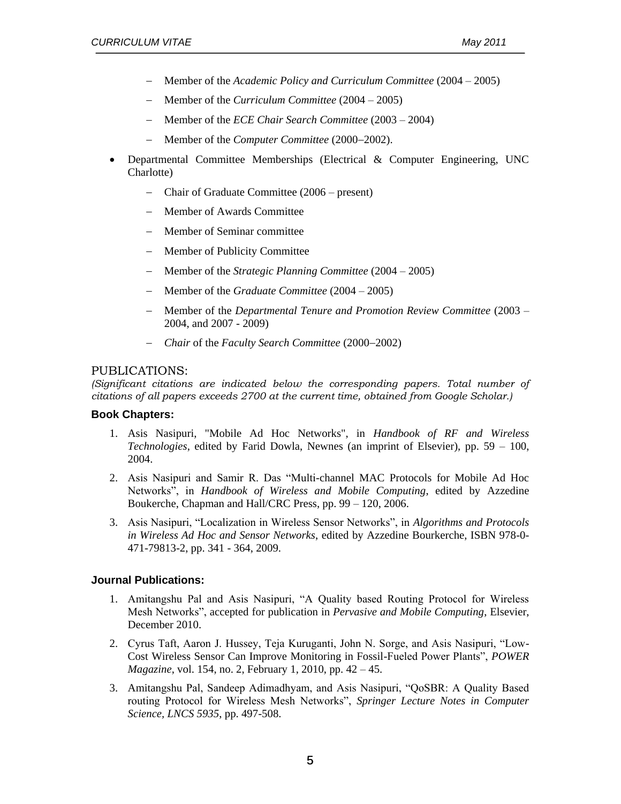- Member of the *Academic Policy and Curriculum Committee* (2004 2005)
- Member of the *Curriculum Committee* (2004 2005)
- Member of the *ECE Chair Search Committee* (2003 2004)
- Member of the *Computer Committee* (2000–2002).
- Departmental Committee Memberships (Electrical & Computer Engineering, UNC Charlotte)
	- Chair of Graduate Committee (2006 present)
	- Member of Awards Committee
	- Member of Seminar committee
	- Member of Publicity Committee
	- Member of the *Strategic Planning Committee* (2004 2005)
	- Member of the *Graduate Committee* (2004 2005)
	- Member of the *Departmental Tenure and Promotion Review Committee* (2003 2004, and 2007 - 2009)
	- *Chair* of the *Faculty Search Committee* (2000–2002)

## PUBLICATIONS:

*(Significant citations are indicated below the corresponding papers. Total number of citations of all papers exceeds 2700 at the current time, obtained from Google Scholar.)*

## **Book Chapters:**

- 1. Asis Nasipuri, "Mobile Ad Hoc Networks", in *Handbook of RF and Wireless Technologies*, edited by Farid Dowla, Newnes (an imprint of Elsevier), pp. 59 – 100, 2004.
- 2. Asis Nasipuri and Samir R. Das "Multi-channel MAC Protocols for Mobile Ad Hoc Networks", in *Handbook of Wireless and Mobile Computing*, edited by Azzedine Boukerche, Chapman and Hall/CRC Press, pp. 99 – 120, 2006.
- 3. Asis Nasipuri, "Localization in Wireless Sensor Networks", in *Algorithms and Protocols in Wireless Ad Hoc and Sensor Networks*, edited by Azzedine Bourkerche, ISBN 978-0- 471-79813-2, pp. 341 - 364, 2009.

## **Journal Publications:**

- 1. Amitangshu Pal and Asis Nasipuri, "A Quality based Routing Protocol for Wireless Mesh Networks", accepted for publication in *Pervasive and Mobile Computing*, Elsevier, December 2010.
- 2. Cyrus Taft, Aaron J. Hussey, Teja Kuruganti, John N. Sorge, and Asis Nasipuri, "Low-Cost Wireless Sensor Can Improve Monitoring in Fossil-Fueled Power Plants", *POWER Magazine*, vol. 154, no. 2, February 1, 2010, pp. 42 – 45.
- 3. Amitangshu Pal, Sandeep Adimadhyam, and Asis Nasipuri, "QoSBR: A Quality Based routing Protocol for Wireless Mesh Networks", *Springer Lecture Notes in Computer Science, LNCS 5935*, pp. 497-508.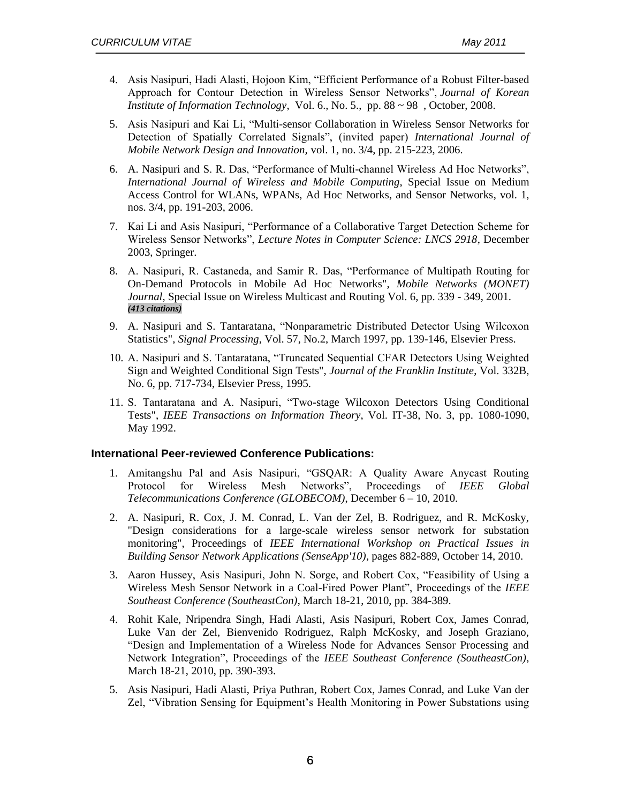- 4. Asis Nasipuri, Hadi Alasti, Hojoon Kim, "Efficient Performance of a Robust Filter-based Approach for Contour Detection in Wireless Sensor Networks", *Journal of Korean Institute of Information Technology*, Vol. 6., No. 5., pp. 88 ~ 98 , October, 2008.
- 5. Asis Nasipuri and Kai Li, "Multi-sensor Collaboration in Wireless Sensor Networks for Detection of Spatially Correlated Signals", (invited paper) *International Journal of Mobile Network Design and Innovation,* vol. 1, no. 3/4, pp. 215-223, 2006.
- 6. A. Nasipuri and S. R. Das, "Performance of Multi-channel Wireless Ad Hoc Networks", *International Journal of Wireless and Mobile Computing*, Special Issue on Medium Access Control for WLANs, WPANs, Ad Hoc Networks, and Sensor Networks, vol. 1, nos. 3/4, pp. 191-203, 2006.
- 7. Kai Li and Asis Nasipuri, "Performance of a Collaborative Target Detection Scheme for Wireless Sensor Networks", *Lecture Notes in Computer Science: LNCS 2918*, December 2003, Springer.
- 8. A. Nasipuri, R. Castaneda, and Samir R. Das, "Performance of Multipath Routing for On-Demand Protocols in Mobile Ad Hoc Networks", *Mobile Networks (MONET) Journal*, Special Issue on Wireless Multicast and Routing Vol. 6, pp. 339 - 349, 2001. *(413 citations)*
- 9. A. Nasipuri and S. Tantaratana, "Nonparametric Distributed Detector Using Wilcoxon Statistics", *Signal Processing*, Vol. 57, No.2, March 1997, pp. 139-146, Elsevier Press.
- 10. A. Nasipuri and S. Tantaratana, "Truncated Sequential CFAR Detectors Using Weighted Sign and Weighted Conditional Sign Tests", *Journal of the Franklin Institute*, Vol. 332B, No. 6, pp. 717-734, Elsevier Press, 1995.
- 11. S. Tantaratana and A. Nasipuri, "Two-stage Wilcoxon Detectors Using Conditional Tests", *IEEE Transactions on Information Theory*, Vol. IT-38, No. 3, pp. 1080-1090, May 1992.

#### **International Peer-reviewed Conference Publications:**

- 1. Amitangshu Pal and Asis Nasipuri, "GSQAR: A Quality Aware Anycast Routing Protocol for Wireless Mesh Networks", Proceedings of *IEEE Global Telecommunications Conference (GLOBECOM)*, December 6 – 10, 2010.
- 2. A. Nasipuri, R. Cox, J. M. Conrad, L. Van der Zel, B. Rodriguez, and R. McKosky, "Design considerations for a large-scale wireless sensor network for substation monitoring", Proceedings of *IEEE International Workshop on Practical Issues in Building Sensor Network Applications (SenseApp'10)*, pages 882-889, October 14, 2010.
- 3. Aaron Hussey, Asis Nasipuri, John N. Sorge, and Robert Cox, "Feasibility of Using a Wireless Mesh Sensor Network in a Coal-Fired Power Plant", Proceedings of the *IEEE Southeast Conference (SoutheastCon)*, March 18-21, 2010, pp. 384-389.
- 4. Rohit Kale, Nripendra Singh, Hadi Alasti, Asis Nasipuri, Robert Cox, James Conrad, Luke Van der Zel, Bienvenido Rodriguez, Ralph McKosky, and Joseph Graziano, "Design and Implementation of a Wireless Node for Advances Sensor Processing and Network Integration", Proceedings of the *IEEE Southeast Conference (SoutheastCon)*, March 18-21, 2010, pp. 390-393.
- 5. Asis Nasipuri, Hadi Alasti, Priya Puthran, Robert Cox, James Conrad, and Luke Van der Zel, "Vibration Sensing for Equipment's Health Monitoring in Power Substations using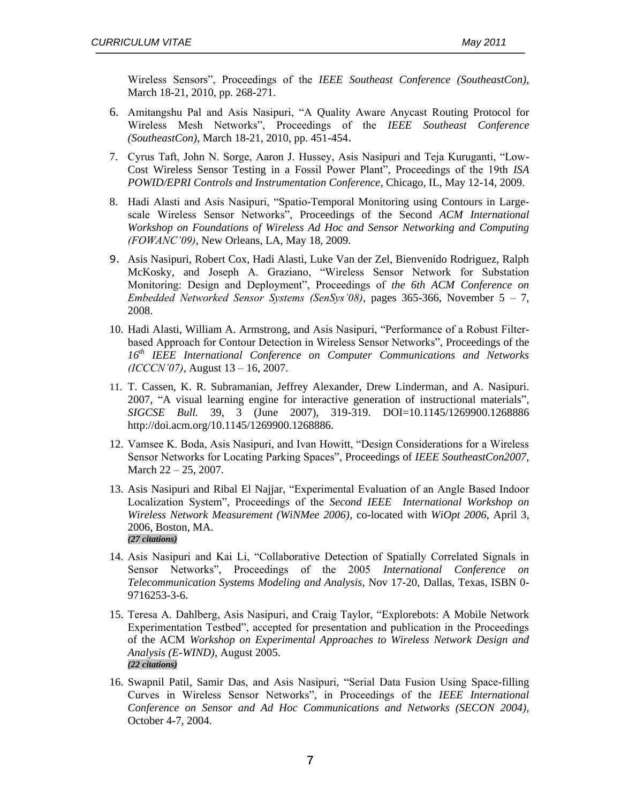Wireless Sensors", Proceedings of the *IEEE Southeast Conference (SoutheastCon),* March 18-21, 2010, pp. 268-271.

- 6. Amitangshu Pal and Asis Nasipuri, "A Quality Aware Anycast Routing Protocol for Wireless Mesh Networks", Proceedings of the *IEEE Southeast Conference (SoutheastCon)*, March 18-21, 2010, pp. 451-454.
- 7. Cyrus Taft, John N. Sorge, Aaron J. Hussey, Asis Nasipuri and Teja Kuruganti, "Low-Cost Wireless Sensor Testing in a Fossil Power Plant", Proceedings of the 19th *ISA POWID/EPRI Controls and Instrumentation Conference*, Chicago, IL, May 12-14, 2009.
- 8. Hadi Alasti and Asis Nasipuri, "Spatio-Temporal Monitoring using Contours in Largescale Wireless Sensor Networks", Proceedings of the Second *ACM International Workshop on Foundations of Wireless Ad Hoc and Sensor Networking and Computing (FOWANC'09)*, New Orleans, LA, May 18, 2009.
- 9. Asis Nasipuri, Robert Cox, Hadi Alasti, Luke Van der Zel, Bienvenido Rodriguez, Ralph McKosky, and Joseph A. Graziano, "Wireless Sensor Network for Substation Monitoring: Design and Deployment", Proceedings of *the 6th ACM Conference on Embedded Networked Sensor Systems (SenSys'08)*, pages 365-366, November 5 – 7, 2008.
- 10. Hadi Alasti, William A. Armstrong, and Asis Nasipuri, "Performance of a Robust Filterbased Approach for Contour Detection in Wireless Sensor Networks", Proceedings of the *16th IEEE International Conference on Computer Communications and Networks (ICCCN'07)*, August 13 – 16, 2007.
- 11. T. Cassen, K. R. Subramanian, Jeffrey Alexander, Drew Linderman, and A. Nasipuri. 2007, "A visual learning engine for interactive generation of instructional materials", *SIGCSE Bull.* 39, 3 (June 2007), 319-319. DOI=10.1145/1269900.1268886 http://doi.acm.org/10.1145/1269900.1268886.
- 12. Vamsee K. Boda, Asis Nasipuri, and Ivan Howitt, "Design Considerations for a Wireless Sensor Networks for Locating Parking Spaces", Proceedings of *IEEE SoutheastCon2007*, March 22 – 25, 2007.
- 13. Asis Nasipuri and Ribal El Najjar, "Experimental Evaluation of an Angle Based Indoor Localization System", Proceedings of the *Second IEEE International Workshop on Wireless Network Measurement (WiNMee 2006)*, co-located with *WiOpt 2006*, April 3, 2006, Boston, MA. *(27 citations)*
- 14. Asis Nasipuri and Kai Li, "Collaborative Detection of Spatially Correlated Signals in Sensor Networks", Proceedings of the 2005 *International Conference on Telecommunication Systems Modeling and Analysis*, Nov 17-20, Dallas, Texas, ISBN 0- 9716253-3-6.
- 15. Teresa A. Dahlberg, Asis Nasipuri, and Craig Taylor, "Explorebots: A Mobile Network Experimentation Testbed", accepted for presentation and publication in the Proceedings of the ACM *Workshop on Experimental Approaches to Wireless Network Design and Analysis (E-WIND)*, August 2005. *(22 citations)*
- 16. Swapnil Patil, Samir Das, and Asis Nasipuri, "Serial Data Fusion Using Space-filling Curves in Wireless Sensor Networks", in Proceedings of the *IEEE International Conference on Sensor and Ad Hoc Communications and Networks (SECON 2004)*, October 4-7, 2004.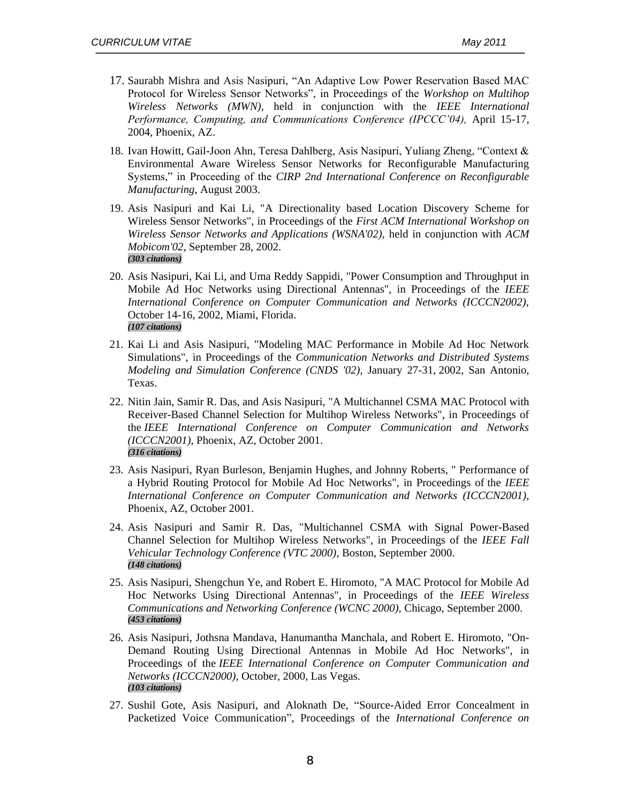- 17. Saurabh Mishra and Asis Nasipuri, "An Adaptive Low Power Reservation Based MAC Protocol for Wireless Sensor Networks", in Proceedings of the *Workshop on Multihop Wireless Networks (MWN)*, held in conjunction with the *IEEE International Performance, Computing, and Communications Conference (IPCCC'04),* April 15-17, 2004, Phoenix, AZ.
- 18. Ivan Howitt, Gail-Joon Ahn, Teresa Dahlberg, Asis Nasipuri, Yuliang Zheng, "Context & Environmental Aware Wireless Sensor Networks for Reconfigurable Manufacturing Systems," in Proceeding of the *CIRP 2nd International Conference on Reconfigurable Manufacturing*, August 2003.
- 19. Asis Nasipuri and Kai Li, "A Directionality based Location Discovery Scheme for Wireless Sensor Networks", in Proceedings of the *First ACM International Workshop on Wireless Sensor Networks and Applications (WSNA'02),* held in conjunction with *ACM Mobicom'02*, September 28, 2002. *(303 citations)*
- 20. Asis Nasipuri, Kai Li, and Uma Reddy Sappidi, "Power Consumption and Throughput in Mobile Ad Hoc Networks using Directional Antennas", in Proceedings of the *IEEE International Conference on Computer Communication and Networks (ICCCN2002),* October 14-16, 2002, Miami, Florida. *(107 citations)*
- 21. Kai Li and Asis Nasipuri, "Modeling MAC Performance in Mobile Ad Hoc Network Simulations", in Proceedings of the *Communication Networks and Distributed Systems Modeling and Simulation Conference (CNDS '02),* January 27-31, 2002, San Antonio, Texas.
- 22. Nitin Jain, Samir R. Das, and Asis Nasipuri, "A Multichannel CSMA MAC Protocol with Receiver-Based Channel Selection for Multihop Wireless Networks", in Proceedings of the *IEEE International Conference on Computer Communication and Networks (ICCCN2001),* Phoenix, AZ, October 2001. *(316 citations)*
- 23. Asis Nasipuri, Ryan Burleson, Benjamin Hughes, and Johnny Roberts, " Performance of a Hybrid Routing Protocol for Mobile Ad Hoc Networks", in Proceedings of the *IEEE International Conference on Computer Communication and Networks (ICCCN2001),* Phoenix, AZ, October 2001.
- 24. Asis Nasipuri and Samir R. Das, "Multichannel CSMA with Signal Power-Based Channel Selection for Multihop Wireless Networks", in Proceedings of the *IEEE Fall Vehicular Technology Conference (VTC 2000)*, Boston, September 2000. *(148 citations)*
- 25. Asis Nasipuri, Shengchun Ye, and Robert E. Hiromoto, "A MAC Protocol for Mobile Ad Hoc Networks Using Directional Antennas", in Proceedings of the *IEEE Wireless Communications and Networking Conference (WCNC 2000),* Chicago, September 2000. *(453 citations)*
- 26. Asis Nasipuri, Jothsna Mandava, Hanumantha Manchala, and Robert E. Hiromoto, "On-Demand Routing Using Directional Antennas in Mobile Ad Hoc Networks", in Proceedings of the *IEEE International Conference on Computer Communication and Networks (ICCCN2000),* October, 2000, Las Vegas. *(103 citations)*
- 27. Sushil Gote, Asis Nasipuri, and Aloknath De, "Source-Aided Error Concealment in Packetized Voice Communication", Proceedings of the *International Conference on*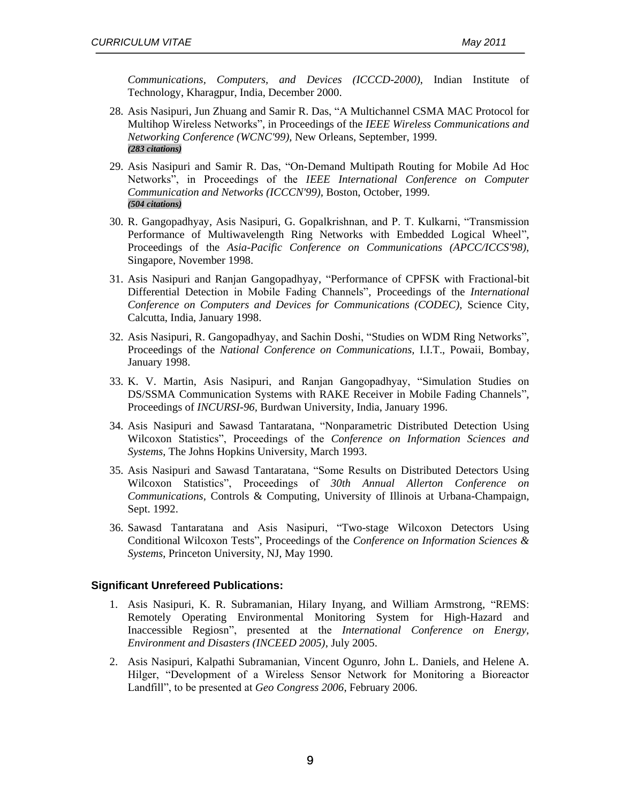*Communications, Computers, and Devices (ICCCD-2000)*, Indian Institute of Technology, Kharagpur, India, December 2000.

- 28. Asis Nasipuri, Jun Zhuang and Samir R. Das, "A Multichannel CSMA MAC Protocol for Multihop Wireless Networks", in Proceedings of the *IEEE Wireless Communications and Networking Conference (WCNC'99),* New Orleans, September, 1999. *(283 citations)*
- 29. Asis Nasipuri and Samir R. Das, "On-Demand Multipath Routing for Mobile Ad Hoc Networks", in Proceedings of the *IEEE International Conference on Computer Communication and Networks (ICCCN'99),* Boston, October, 1999. *(504 citations)*
- 30. R. Gangopadhyay, Asis Nasipuri, G. Gopalkrishnan, and P. T. Kulkarni, "Transmission Performance of Multiwavelength Ring Networks with Embedded Logical Wheel", Proceedings of the *Asia-Pacific Conference on Communications (APCC/ICCS'98),*  Singapore, November 1998.
- 31. Asis Nasipuri and Ranjan Gangopadhyay, "Performance of CPFSK with Fractional-bit Differential Detection in Mobile Fading Channels", Proceedings of the *International Conference on Computers and Devices for Communications (CODEC),* Science City, Calcutta, India, January 1998.
- 32. Asis Nasipuri, R. Gangopadhyay, and Sachin Doshi, "Studies on WDM Ring Networks", Proceedings of the *National Conference on Communications,* I.I.T., Powaii, Bombay, January 1998.
- 33. K. V. Martin, Asis Nasipuri, and Ranjan Gangopadhyay, "Simulation Studies on DS/SSMA Communication Systems with RAKE Receiver in Mobile Fading Channels", Proceedings of *INCURSI-96,* Burdwan University, India, January 1996.
- 34. Asis Nasipuri and Sawasd Tantaratana, "Nonparametric Distributed Detection Using Wilcoxon Statistics", Proceedings of the *Conference on Information Sciences and Systems*, The Johns Hopkins University, March 1993.
- 35. Asis Nasipuri and Sawasd Tantaratana, "Some Results on Distributed Detectors Using Wilcoxon Statistics", Proceedings of *30th Annual Allerton Conference on Communications,* Controls & Computing, University of Illinois at Urbana-Champaign, Sept. 1992.
- 36. Sawasd Tantaratana and Asis Nasipuri, "Two-stage Wilcoxon Detectors Using Conditional Wilcoxon Tests", Proceedings of the *Conference on Information Sciences & Systems*, Princeton University, NJ, May 1990.

#### **Significant Unrefereed Publications:**

- 1. Asis Nasipuri, K. R. Subramanian, Hilary Inyang, and William Armstrong, "REMS: Remotely Operating Environmental Monitoring System for High-Hazard and Inaccessible Regiosn", presented at the *International Conference on Energy, Environment and Disasters (INCEED 2005)*, July 2005.
- 2. Asis Nasipuri, Kalpathi Subramanian, Vincent Ogunro, John L. Daniels, and Helene A. Hilger, "Development of a Wireless Sensor Network for Monitoring a Bioreactor Landfill", to be presented at *Geo Congress 2006*, February 2006.